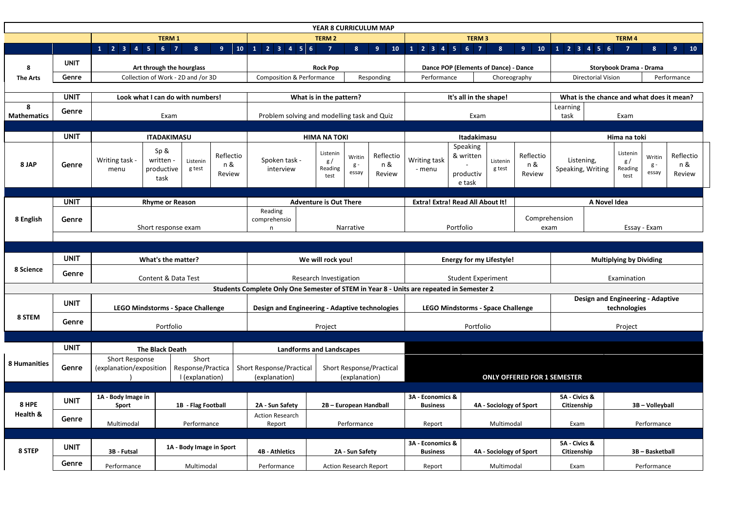|                         |                      |                                                                            |                                                                |                                                                                          | <b>YEAR 8 CURRICULUM MAP</b>                                                        |                             |                                          |                                              |                         |                                          |                                   |  |                                                               |                                           |  |  |
|-------------------------|----------------------|----------------------------------------------------------------------------|----------------------------------------------------------------|------------------------------------------------------------------------------------------|-------------------------------------------------------------------------------------|-----------------------------|------------------------------------------|----------------------------------------------|-------------------------|------------------------------------------|-----------------------------------|--|---------------------------------------------------------------|-------------------------------------------|--|--|
|                         |                      |                                                                            | <b>TERM 1</b>                                                  |                                                                                          | <b>TERM 2</b>                                                                       |                             |                                          | <b>TERM 3</b>                                |                         |                                          |                                   |  | <b>TERM4</b>                                                  |                                           |  |  |
|                         |                      | $1 \quad 2 \quad 3 \quad 4 \quad 5 \quad 6 \quad 7$                        | 8 <sup>°</sup><br>9 <sup>°</sup>                               | 1 2 3 4 5 6<br>10                                                                        | $\overline{7}$<br>8 <sup>1</sup>                                                    | 9 <sup>°</sup><br><b>10</b> | $1$   2   3   4   5   6   7              |                                              | 8 <sup>°</sup>          | 9 <sup>°</sup><br>10                     |                                   |  | $\overline{7}$<br>8                                           | 9 <sup>°</sup><br>10                      |  |  |
| 8                       | <b>UNIT</b>          | Art through the hourglass                                                  |                                                                |                                                                                          | <b>Rock Pop</b>                                                                     |                             | Dance POP (Elements of Dance) - Dance    |                                              |                         | <b>Storybook Drama - Drama</b>           |                                   |  |                                                               |                                           |  |  |
| <b>The Arts</b>         | Genre                | Collection of Work - 2D and /or 3D                                         |                                                                |                                                                                          | <b>Composition &amp; Performance</b><br>Responding                                  |                             | Performance<br>Choreography              |                                              |                         | Performance<br><b>Directorial Vision</b> |                                   |  |                                                               |                                           |  |  |
|                         |                      |                                                                            |                                                                |                                                                                          |                                                                                     |                             |                                          |                                              |                         |                                          |                                   |  |                                                               |                                           |  |  |
|                         | <b>UNIT</b>          |                                                                            | Look what I can do with numbers!                               |                                                                                          | What is in the pattern?                                                             |                             |                                          | It's all in the shape!                       |                         |                                          |                                   |  |                                                               | What is the chance and what does it mean? |  |  |
| 8<br><b>Mathematics</b> | Genre<br>Exam        |                                                                            |                                                                | Problem solving and modelling task and Quiz                                              |                                                                                     |                             | Exam                                     |                                              |                         | Learning<br>task<br>Exam                 |                                   |  |                                                               |                                           |  |  |
|                         |                      |                                                                            |                                                                |                                                                                          |                                                                                     |                             |                                          |                                              |                         |                                          |                                   |  |                                                               |                                           |  |  |
|                         | <b>UNIT</b>          | <b>ITADAKIMASU</b>                                                         |                                                                |                                                                                          | <b>HIMA NA TOKI</b>                                                                 |                             |                                          | Itadakimasu                                  |                         |                                          | Hima na toki                      |  |                                                               |                                           |  |  |
| 8 JAP                   | Genre                | Sp 8<br>Writing task -<br>written -<br>menu<br>task                        | Reflectio<br>Listenin<br>n &<br>g test<br>productive<br>Review | Spoken task -<br>interview                                                               | Listenin<br>Writin<br>g/<br>g -<br>Reading<br>essay<br>test                         | Reflectio<br>n &<br>Review  | Writing task<br>- menu                   | Speaking<br>& written<br>productiv<br>e task | Listenin<br>g test      | Reflectio<br>n &<br>Review               | Listening,<br>Speaking, Writing   |  | Listenin<br>Writin<br>g/<br>$g -$<br>Reading<br>essay<br>test | Reflectio<br>n &<br>Review                |  |  |
|                         |                      |                                                                            |                                                                |                                                                                          |                                                                                     |                             |                                          |                                              |                         |                                          |                                   |  |                                                               |                                           |  |  |
|                         | <b>UNIT</b>          |                                                                            | <b>Rhyme or Reason</b>                                         |                                                                                          | <b>Adventure is Out There</b>                                                       |                             | <b>Extra! Extra! Read All About It!</b>  |                                              |                         |                                          | A Novel Idea                      |  |                                                               |                                           |  |  |
| 8 English               | Genre                | Short response exam                                                        |                                                                | Reading<br>comprehensio<br>n                                                             | Narrative                                                                           |                             | Portfolio                                |                                              | Comprehension<br>exam   | Essay - Exam                             |                                   |  |                                                               |                                           |  |  |
|                         |                      |                                                                            |                                                                |                                                                                          |                                                                                     |                             |                                          |                                              |                         |                                          |                                   |  |                                                               |                                           |  |  |
|                         |                      |                                                                            |                                                                |                                                                                          |                                                                                     |                             |                                          |                                              |                         |                                          |                                   |  |                                                               |                                           |  |  |
|                         | <b>UNIT</b>          | What's the matter?                                                         |                                                                |                                                                                          | We will rock you!                                                                   |                             | <b>Energy for my Lifestyle!</b>          |                                              |                         | <b>Multiplying by Dividing</b>           |                                   |  |                                                               |                                           |  |  |
| 8 Science               | Genre                | Content & Data Test                                                        |                                                                |                                                                                          | Research Investigation                                                              |                             | <b>Student Experiment</b>                |                                              |                         | Examination                              |                                   |  |                                                               |                                           |  |  |
|                         |                      |                                                                            |                                                                | Students Complete Only One Semester of STEM in Year 8 - Units are repeated in Semester 2 |                                                                                     |                             |                                          |                                              |                         |                                          |                                   |  |                                                               |                                           |  |  |
|                         |                      |                                                                            |                                                                |                                                                                          |                                                                                     |                             |                                          |                                              |                         |                                          | Design and Engineering - Adaptive |  |                                                               |                                           |  |  |
|                         | <b>UNIT</b>          | <b>LEGO Mindstorms - Space Challenge</b>                                   |                                                                |                                                                                          | Design and Engineering - Adaptive technologies                                      |                             |                                          |                                              |                         |                                          |                                   |  |                                                               | technologies                              |  |  |
| 8 STEM                  |                      |                                                                            |                                                                |                                                                                          |                                                                                     |                             | <b>LEGO Mindstorms - Space Challenge</b> |                                              |                         |                                          |                                   |  |                                                               |                                           |  |  |
|                         | Genre                |                                                                            |                                                                |                                                                                          |                                                                                     |                             |                                          |                                              |                         |                                          |                                   |  |                                                               |                                           |  |  |
|                         |                      |                                                                            | Portfolio                                                      |                                                                                          | Project                                                                             |                             |                                          | Portfolio                                    |                         |                                          |                                   |  | Project                                                       |                                           |  |  |
|                         |                      |                                                                            |                                                                |                                                                                          |                                                                                     |                             |                                          |                                              |                         |                                          |                                   |  |                                                               |                                           |  |  |
| 8 Humanities            | <b>UNIT</b><br>Genre | <b>The Black Death</b><br><b>Short Response</b><br>(explanation/exposition | Short<br>Response/Practica<br>I (explanation)                  | <b>Short Response/Practical</b><br>(explanation)                                         | <b>Landforms and Landscapes</b><br><b>Short Response/Practical</b><br>(explanation) |                             |                                          |                                              |                         | <b>ONLY OFFERED FOR 1 SEMESTER</b>       |                                   |  |                                                               |                                           |  |  |
|                         |                      |                                                                            |                                                                |                                                                                          |                                                                                     |                             |                                          |                                              |                         |                                          |                                   |  |                                                               |                                           |  |  |
| 8 HPE                   | <b>UNIT</b>          | 1A - Body Image in<br>Sport                                                | 1B - Flag Football                                             | 2A - Sun Safety                                                                          | 2B - European Handball                                                              |                             | 3A - Economics &<br><b>Business</b>      |                                              | 4A - Sociology of Sport |                                          | 5A - Civics &<br>Citizenship      |  | 3B - Volleyball                                               |                                           |  |  |
| Health &                | Genre                | Multimodal                                                                 | Performance                                                    | <b>Action Research</b><br>Report                                                         | Performance                                                                         |                             | Report                                   |                                              | Multimodal              |                                          | Exam                              |  | Performance                                                   |                                           |  |  |
| 8 STEP                  | <b>UNIT</b>          | 3B - Futsal                                                                | 1A - Body Image in Sport                                       | <b>4B - Athletics</b>                                                                    | 2A - Sun Safety                                                                     |                             | 3A - Economics &<br><b>Business</b>      |                                              | 4A - Sociology of Sport |                                          | 5A - Civics &<br>Citizenship      |  | 3B - Basketball                                               |                                           |  |  |